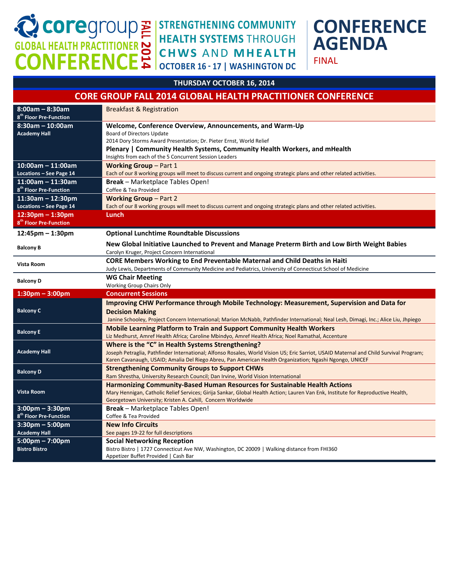CORP COPPER CONFERENCE

### **STRENGTHENING COMMUNITY HEALTH SYSTEMS THROUGH CHWS AND MHEALTH OCTOBER 16 - 17 | WASHINGTON DC**

# **CONFERENCE AGENDA**

FINAL

#### **THURSDAY OCTOBER 16, 2014**

#### **CORE GROUP FALL 2014 GLOBAL HEALTH PRACTITIONER CONFERENCE**

| $8:00am - 8:30am$<br>8 <sup>th</sup> Floor Pre-Function   | <b>Breakfast &amp; Registration</b>                                                                                                                                                         |
|-----------------------------------------------------------|---------------------------------------------------------------------------------------------------------------------------------------------------------------------------------------------|
| $8:30$ am - 10:00am                                       | Welcome, Conference Overview, Announcements, and Warm-Up                                                                                                                                    |
| <b>Academy Hall</b>                                       | <b>Board of Directors Update</b>                                                                                                                                                            |
|                                                           | 2014 Dory Storms Award Presentation; Dr. Pieter Ernst, World Relief                                                                                                                         |
|                                                           | Plenary   Community Health Systems, Community Health Workers, and mHealth                                                                                                                   |
|                                                           | Insights from each of the 5 Concurrent Session Leaders                                                                                                                                      |
| $10:00$ am - 11:00am                                      | <b>Working Group – Part 1</b>                                                                                                                                                               |
| Locations - See Page 14                                   | Each of our 8 working groups will meet to discuss current and ongoing strategic plans and other related activities.                                                                         |
| $11:00$ am - 11:30am                                      | <b>Break</b> - Marketplace Tables Open!                                                                                                                                                     |
| 8 <sup>th</sup> Floor Pre-Function                        | Coffee & Tea Provided                                                                                                                                                                       |
| 11:30am - 12:30pm                                         | <b>Working Group - Part 2</b>                                                                                                                                                               |
| Locations - See Page 14                                   | Each of our 8 working groups will meet to discuss current and ongoing strategic plans and other related activities.                                                                         |
| $12:30$ pm – 1:30pm<br>8 <sup>th</sup> Floor Pre-Function | Lunch                                                                                                                                                                                       |
|                                                           |                                                                                                                                                                                             |
| $12:45$ pm – 1:30pm                                       | <b>Optional Lunchtime Roundtable Discussions</b>                                                                                                                                            |
| <b>Balcony B</b>                                          | New Global Initiative Launched to Prevent and Manage Preterm Birth and Low Birth Weight Babies<br>Carolyn Kruger, Project Concern International                                             |
|                                                           | <b>CORE Members Working to End Preventable Maternal and Child Deaths in Haiti</b>                                                                                                           |
| Vista Room                                                | Judy Lewis, Departments of Community Medicine and Pediatrics, University of Connecticut School of Medicine                                                                                  |
| <b>Balcony D</b>                                          | <b>WG Chair Meeting</b>                                                                                                                                                                     |
|                                                           | Working Group Chairs Only                                                                                                                                                                   |
| $1:30$ pm - $3:00$ pm                                     | <b>Concurrent Sessions</b>                                                                                                                                                                  |
|                                                           | Improving CHW Performance through Mobile Technology: Measurement, Supervision and Data for                                                                                                  |
| <b>Balcony C</b>                                          | <b>Decision Making</b>                                                                                                                                                                      |
|                                                           | Janine Schooley, Project Concern International; Marion McNabb, Pathfinder International; Neal Lesh, Dimagi, Inc.; Alice Liu, Jhpiego                                                        |
| <b>Balcony E</b>                                          | Mobile Learning Platform to Train and Support Community Health Workers                                                                                                                      |
|                                                           | Liz Medhurst, Amref Health Africa; Caroline Mbindyo, Amref Health Africa; Noel Ramathal, Accenture                                                                                          |
| <b>Academy Hall</b>                                       | Where is the "C" in Health Systems Strengthening?<br>Joseph Petraglia, Pathfinder International; Alfonso Rosales, World Vision US; Eric Sarriot, USAID Maternal and Child Survival Program; |
|                                                           | Karen Cavanaugh, USAID; Amalia Del Riego Abreu, Pan American Health Organization; Ngashi Ngongo, UNICEF                                                                                     |
|                                                           | <b>Strengthening Community Groups to Support CHWs</b>                                                                                                                                       |
| <b>Balcony D</b>                                          | Ram Shrestha, University Research Council; Dan Irvine, World Vision International                                                                                                           |
|                                                           | <b>Harmonizing Community-Based Human Resources for Sustainable Health Actions</b>                                                                                                           |
| <b>Vista Room</b>                                         | Mary Hennigan, Catholic Relief Services; Girija Sankar, Global Health Action; Lauren Van Enk, Institute for Reproductive Health,                                                            |
|                                                           | Georgetown University; Kristen A. Cahill, Concern Worldwide                                                                                                                                 |
| $3:00 \text{pm} - 3:30 \text{pm}$                         | <b>Break</b> - Marketplace Tables Open!                                                                                                                                                     |
| 8 <sup>th</sup> Floor Pre-Function                        | Coffee & Tea Provided                                                                                                                                                                       |
| $3:30$ pm – 5:00pm                                        | <b>New Info Circuits</b>                                                                                                                                                                    |
| <b>Academy Hall</b>                                       | See pages 19-22 for full descriptions                                                                                                                                                       |
| $5:00 \text{pm} - 7:00 \text{pm}$                         | <b>Social Networking Reception</b>                                                                                                                                                          |
| <b>Bistro Bistro</b>                                      | Bistro Bistro   1727 Connecticut Ave NW, Washington, DC 20009   Walking distance from FHI360                                                                                                |
|                                                           | Appetizer Buffet Provided   Cash Bar                                                                                                                                                        |